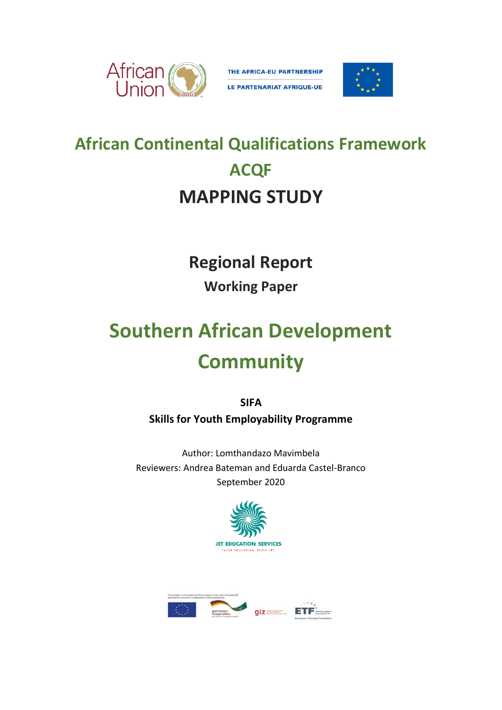

THE AFRICA-EU PARTNERSHIP LE PARTENARIAT AFRIQUE-UE



# **African Continental Qualifications Framework ACQF MAPPING STUDY**

### **Regional Report**

### **Working Paper**

# **Southern African Development Community**

**SIFA Skills for Youth Employability Programme**

Author: Lomthandazo Mavimbela Reviewers: Andrea Bateman and Eduarda Castel-Branco September 2020



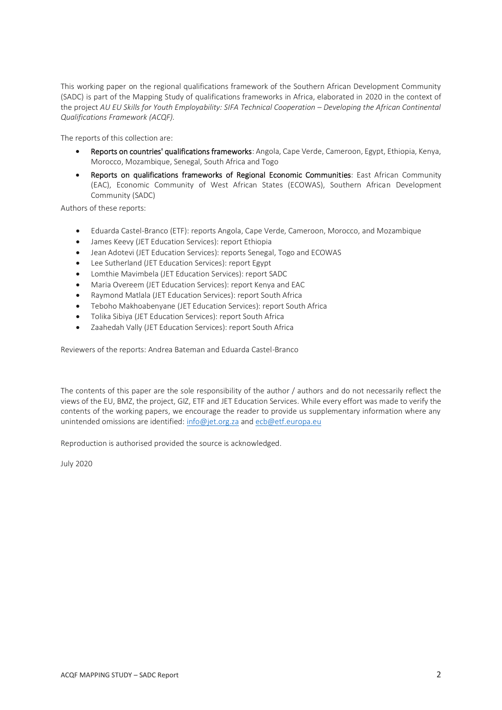This working paper on the regional qualifications framework of the Southern African Development Community (SADC) is part of the Mapping Study of qualifications frameworks in Africa, elaborated in 2020 in the context of the project *AU EU Skills for Youth Employability: SIFA Technical Cooperation – Developing the African Continental Qualifications Framework (ACQF).*

The reports of this collection are:

- Reports on countries' qualifications frameworks: Angola, Cape Verde, Cameroon, Egypt, Ethiopia, Kenya, Morocco, Mozambique, Senegal, South Africa and Togo
- Reports on qualifications frameworks of Regional Economic Communities: East African Community (EAC), Economic Community of West African States (ECOWAS), Southern African Development Community (SADC)

Authors of these reports:

- Eduarda Castel-Branco (ETF): reports Angola, Cape Verde, Cameroon, Morocco, and Mozambique
- James Keevy (JET Education Services): report Ethiopia
- Jean Adotevi (JET Education Services): reports Senegal, Togo and ECOWAS
- Lee Sutherland (JET Education Services): report Egypt
- Lomthie Mavimbela (JET Education Services): report SADC
- Maria Overeem (JET Education Services): report Kenya and EAC
- Raymond Matlala (JET Education Services): report South Africa
- Teboho Makhoabenyane (JET Education Services): report South Africa
- Tolika Sibiya (JET Education Services): report South Africa
- Zaahedah Vally (JET Education Services): report South Africa

Reviewers of the reports: Andrea Bateman and Eduarda Castel-Branco

The contents of this paper are the sole responsibility of the author / authors and do not necessarily reflect the views of the EU, BMZ, the project, GIZ, ETF and JET Education Services. While every effort was made to verify the contents of the working papers, we encourage the reader to provide us supplementary information where any unintended omissions are identified: [info@jet.org.za](mailto:info@jet.org.za) and [ecb@etf.europa.eu](mailto:ecb@etf.europa.eu)

Reproduction is authorised provided the source is acknowledged.

July 2020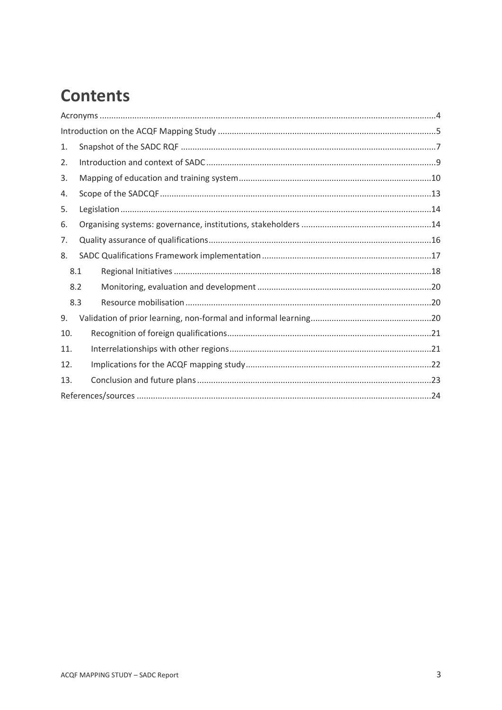### **Contents**

| 1.  |     |  |  |  |  |
|-----|-----|--|--|--|--|
| 2.  |     |  |  |  |  |
| 3.  |     |  |  |  |  |
| 4.  |     |  |  |  |  |
| 5.  |     |  |  |  |  |
| 6.  |     |  |  |  |  |
| 7.  |     |  |  |  |  |
| 8.  |     |  |  |  |  |
| 8.1 |     |  |  |  |  |
|     | 8.2 |  |  |  |  |
|     | 8.3 |  |  |  |  |
| 9.  |     |  |  |  |  |
| 10. |     |  |  |  |  |
| 11. |     |  |  |  |  |
| 12. |     |  |  |  |  |
| 13. |     |  |  |  |  |
|     |     |  |  |  |  |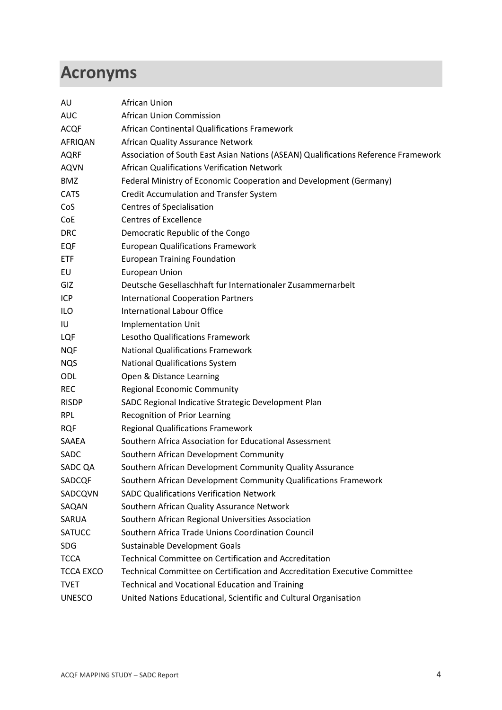### <span id="page-3-0"></span>**Acronyms**

| AU               | African Union                                                                      |
|------------------|------------------------------------------------------------------------------------|
| <b>AUC</b>       | African Union Commission                                                           |
| <b>ACQF</b>      | African Continental Qualifications Framework                                       |
| AFRIQAN          | African Quality Assurance Network                                                  |
| <b>AQRF</b>      | Association of South East Asian Nations (ASEAN) Qualifications Reference Framework |
| <b>AQVN</b>      | African Qualifications Verification Network                                        |
| <b>BMZ</b>       | Federal Ministry of Economic Cooperation and Development (Germany)                 |
| <b>CATS</b>      | <b>Credit Accumulation and Transfer System</b>                                     |
| CoS              | <b>Centres of Specialisation</b>                                                   |
| CoE              | <b>Centres of Excellence</b>                                                       |
| <b>DRC</b>       | Democratic Republic of the Congo                                                   |
| EQF              | <b>European Qualifications Framework</b>                                           |
| ETF              | <b>European Training Foundation</b>                                                |
| EU               | <b>European Union</b>                                                              |
| GIZ              | Deutsche Gesellaschhaft fur Internationaler Zusammernarbelt                        |
| ICP              | <b>International Cooperation Partners</b>                                          |
| ILO              | <b>International Labour Office</b>                                                 |
| IU               | <b>Implementation Unit</b>                                                         |
| LQF              | Lesotho Qualifications Framework                                                   |
| <b>NQF</b>       | <b>National Qualifications Framework</b>                                           |
| <b>NQS</b>       | <b>National Qualifications System</b>                                              |
| ODL              | Open & Distance Learning                                                           |
| <b>REC</b>       | <b>Regional Economic Community</b>                                                 |
| <b>RISDP</b>     | SADC Regional Indicative Strategic Development Plan                                |
| <b>RPL</b>       | Recognition of Prior Learning                                                      |
| <b>RQF</b>       | <b>Regional Qualifications Framework</b>                                           |
| SAAEA            | Southern Africa Association for Educational Assessment                             |
| <b>SADC</b>      | Southern African Development Community                                             |
| SADC QA          | Southern African Development Community Quality Assurance                           |
| SADCQF           | Southern African Development Community Qualifications Framework                    |
| SADCQVN          | <b>SADC Qualifications Verification Network</b>                                    |
| SAQAN            | Southern African Quality Assurance Network                                         |
| SARUA            | Southern African Regional Universities Association                                 |
| <b>SATUCC</b>    | Southern Africa Trade Unions Coordination Council                                  |
| <b>SDG</b>       | Sustainable Development Goals                                                      |
| <b>TCCA</b>      | <b>Technical Committee on Certification and Accreditation</b>                      |
| <b>TCCA EXCO</b> | Technical Committee on Certification and Accreditation Executive Committee         |
| <b>TVET</b>      | <b>Technical and Vocational Education and Training</b>                             |
| <b>UNESCO</b>    | United Nations Educational, Scientific and Cultural Organisation                   |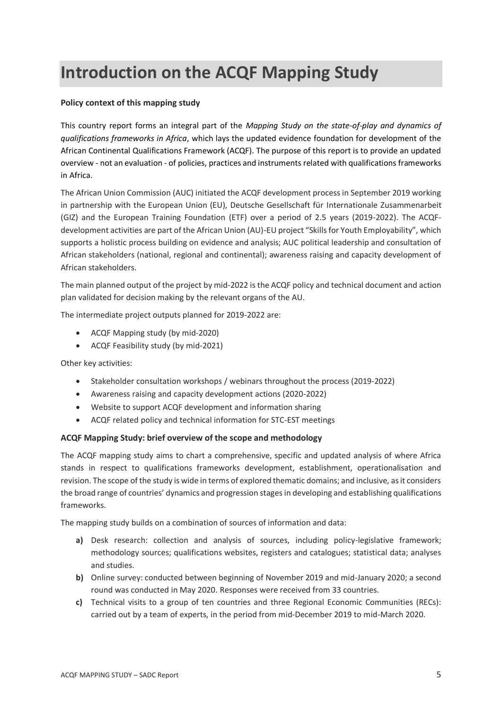### <span id="page-4-0"></span>**Introduction on the ACQF Mapping Study**

#### **Policy context of this mapping study**

This country report forms an integral part of the *Mapping Study on the state-of-play and dynamics of qualifications frameworks in Africa*, which lays the updated evidence foundation for development of the African Continental Qualifications Framework (ACQF). The purpose of this report is to provide an updated overview - not an evaluation - of policies, practices and instruments related with qualifications frameworks in Africa.

The African Union Commission (AUC) initiated the ACQF development process in September 2019 working in partnership with the European Union (EU), Deutsche Gesellschaft für Internationale Zusammenarbeit (GIZ) and the European Training Foundation (ETF) over a period of 2.5 years (2019-2022). The ACQFdevelopment activities are part of the African Union (AU)-EU project "Skills for Youth Employability", which supports a holistic process building on evidence and analysis; AUC political leadership and consultation of African stakeholders (national, regional and continental); awareness raising and capacity development of African stakeholders.

The main planned output of the project by mid-2022 is the ACQF policy and technical document and action plan validated for decision making by the relevant organs of the AU.

The intermediate project outputs planned for 2019-2022 are:

- ACQF Mapping study (by mid-2020)
- ACQF Feasibility study (by mid-2021)

Other key activities:

- Stakeholder consultation workshops / webinars throughout the process (2019-2022)
- Awareness raising and capacity development actions (2020-2022)
- Website to support ACQF development and information sharing
- ACQF related policy and technical information for STC-EST meetings

#### **ACQF Mapping Study: brief overview of the scope and methodology**

The ACQF mapping study aims to chart a comprehensive, specific and updated analysis of where Africa stands in respect to qualifications frameworks development, establishment, operationalisation and revision. The scope of the study is wide in terms of explored thematic domains; and inclusive, as it considers the broad range of countries' dynamics and progression stages in developing and establishing qualifications frameworks.

The mapping study builds on a combination of sources of information and data:

- **a)** Desk research: collection and analysis of sources, including policy-legislative framework; methodology sources; qualifications websites, registers and catalogues; statistical data; analyses and studies.
- **b)** Online survey: conducted between beginning of November 2019 and mid-January 2020; a second round was conducted in May 2020. Responses were received from 33 countries.
- **c)** Technical visits to a group of ten countries and three Regional Economic Communities (RECs): carried out by a team of experts, in the period from mid-December 2019 to mid-March 2020.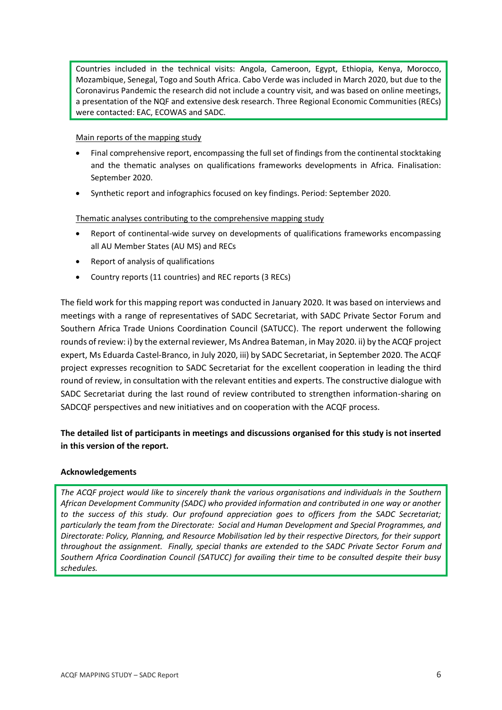Countries included in the technical visits: Angola, Cameroon, Egypt, Ethiopia, Kenya, Morocco, Mozambique, Senegal, Togo and South Africa. Cabo Verde was included in March 2020, but due to the Coronavirus Pandemic the research did not include a country visit, and was based on online meetings, a presentation of the NQF and extensive desk research. Three Regional Economic Communities (RECs) were contacted: EAC, ECOWAS and SADC.

#### Main reports of the mapping study

- Final comprehensive report, encompassing the full set of findings from the continental stocktaking and the thematic analyses on qualifications frameworks developments in Africa. Finalisation: September 2020.
- Synthetic report and infographics focused on key findings. Period: September 2020.

#### Thematic analyses contributing to the comprehensive mapping study

- Report of continental-wide survey on developments of qualifications frameworks encompassing all AU Member States (AU MS) and RECs
- Report of analysis of qualifications
- Country reports (11 countries) and REC reports (3 RECs)

The field work for this mapping report was conducted in January 2020. It was based on interviews and meetings with a range of representatives of SADC Secretariat, with SADC Private Sector Forum and Southern Africa Trade Unions Coordination Council (SATUCC). The report underwent the following rounds of review: i) by the external reviewer, Ms Andrea Bateman, in May 2020. ii) by the ACQF project expert, Ms Eduarda Castel-Branco, in July 2020, iii) by SADC Secretariat, in September 2020. The ACQF project expresses recognition to SADC Secretariat for the excellent cooperation in leading the third round of review, in consultation with the relevant entities and experts. The constructive dialogue with SADC Secretariat during the last round of review contributed to strengthen information-sharing on SADCQF perspectives and new initiatives and on cooperation with the ACQF process.

#### **The detailed list of participants in meetings and discussions organised for this study is not inserted in this version of the report.**

#### **Acknowledgements**

*The ACQF project would like to sincerely thank the various organisations and individuals in the Southern African Development Community (SADC) who provided information and contributed in one way or another to the success of this study. Our profound appreciation goes to officers from the SADC Secretariat; particularly the team from the Directorate: Social and Human Development and Special Programmes, and Directorate: Policy, Planning, and Resource Mobilisation led by their respective Directors, for their support throughout the assignment. Finally, special thanks are extended to the SADC Private Sector Forum and Southern Africa Coordination Council (SATUCC) for availing their time to be consulted despite their busy schedules.*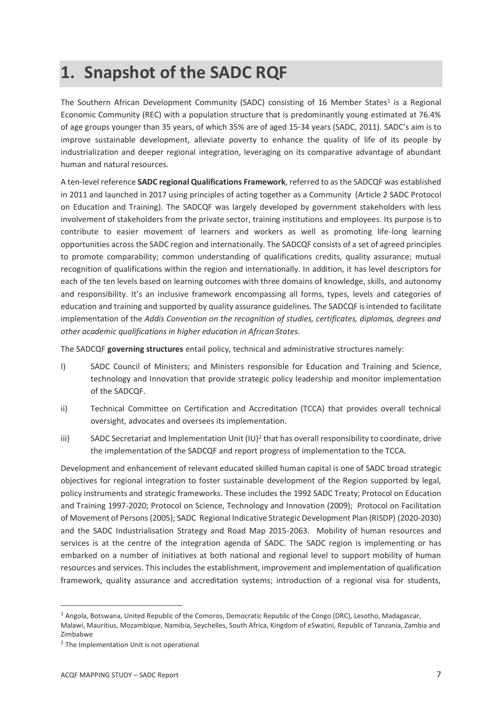### <span id="page-6-0"></span>**1. Snapshot of the SADC RQF**

The Southern African Development Community (SADC) consisting of 16 Member States<sup>1</sup> is a Regional Economic Community (REC) with a population structure that is predominantly young estimated at 76.4% of age groups younger than 35 years, of which 35% are of aged 15-34 years (SADC, 2011). SADC's aim is to improve sustainable development, alleviate poverty to enhance the quality of life of its people by industrialization and deeper regional integration, leveraging on its comparative advantage of abundant human and natural resources.

A ten-level reference **SADC regional Qualifications Framework**, referred to as the SADCQF was established in 2011 and launched in 2017 using principles of acting together as a Community (Article 2 SADC Protocol on Education and Training). The SADCQF was largely developed by government stakeholders with less involvement of stakeholders from the private sector, training institutions and employees. Its purpose is to contribute to easier movement of learners and workers as well as promoting life-long learning opportunities across the SADC region and internationally. The SADCQF consists of a set of agreed principles to promote comparability; common understanding of qualifications credits, quality assurance; mutual recognition of qualifications within the region and internationally. In addition, it has level descriptors for each of the ten levels based on learning outcomes with three domains of knowledge, skills, and autonomy and responsibility. It's an inclusive framework encompassing all forms, types, levels and categories of education and training and supported by quality assurance guidelines. The SADCQF is intended to facilitate implementation of the *Addis Convention on the recognition of studies, certificates, diplomas, degrees and other academic qualifications in higher education in African States.*

The SADCQF **governing structures** entail policy, technical and administrative structures namely:

- I) SADC Council of Ministers; and Ministers responsible for Education and Training and Science, technology and Innovation that provide strategic policy leadership and monitor implementation of the SADCQF.
- ii) Technical Committee on Certification and Accreditation (TCCA) that provides overall technical oversight, advocates and oversees its implementation.
- iii) SADC Secretariat and Implementation Unit  $(IU)^2$  that has overall responsibility to coordinate, drive the implementation of the SADCQF and report progress of implementation to the TCCA.

Development and enhancement of relevant educated skilled human capital is one of SADC broad strategic objectives for regional integration to foster sustainable development of the Region supported by legal, policy instruments and strategic frameworks. These includes the 1992 SADC Treaty; Protocol on Education and Training 1997-2020; Protocol on Science, Technology and Innovation (2009); Protocol on Facilitation of Movement of Persons (2005); SADC Regional Indicative Strategic Development Plan (RISDP) (2020-2030) and the SADC Industrialisation Strategy and Road Map 2015-2063. Mobility of human resources and services is at the centre of the integration agenda of SADC. The SADC region is implementing or has embarked on a number of initiatives at both national and regional level to support mobility of human resources and services. This includes the establishment, improvement and implementation of qualification framework, quality assurance and accreditation systems; introduction of a regional visa for students,

<sup>1</sup> Angola, Botswana, United Republic of the Comoros, Democratic Republic of the Congo (DRC), Lesotho, Madagascar, Malawi, Mauritius, Mozambique, Namibia, Seychelles, South Africa, Kingdom of eSwatini, Republic of Tanzania, Zambia and Zimbabwe

<sup>&</sup>lt;sup>2</sup> The Implementation Unit is not operational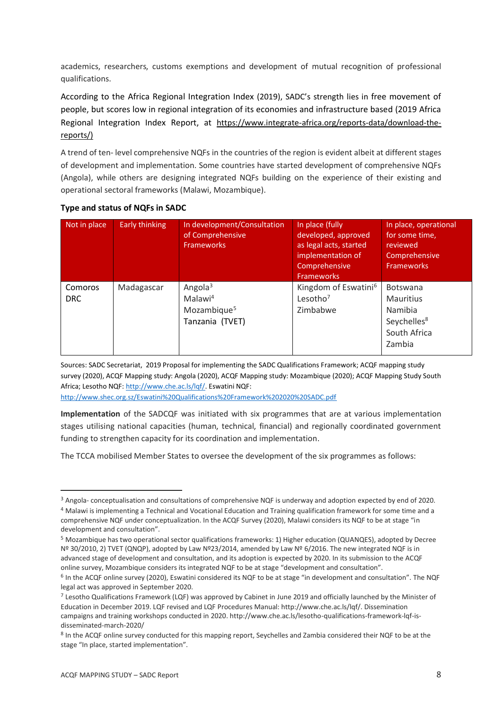academics, researchers, customs exemptions and development of mutual recognition of professional qualifications.

According to the Africa Regional Integration Index (2019), SADC's strength lies in free movement of people, but scores low in regional integration of its economies and infrastructure based (2019 Africa Regional Integration Index Report, at [https://www.integrate-africa.org/reports-data/download-the](https://www.integrate-africa.org/reports-data/download-the-reports/)[reports/\)](https://www.integrate-africa.org/reports-data/download-the-reports/)

A trend of ten- level comprehensive NQFs in the countries of the region is evident albeit at different stages of development and implementation. Some countries have started development of comprehensive NQFs (Angola), while others are designing integrated NQFs building on the experience of their existing and operational sectoral frameworks (Malawi, Mozambique).

| Not in place          | Early thinking | In development/Consultation<br>of Comprehensive<br><b>Frameworks</b>            | In place (fully<br>developed, approved<br>as legal acts, started<br>implementation of<br>Comprehensive<br><b>Frameworks</b> | In place, operational<br>for some time,<br>reviewed<br>Comprehensive<br><b>Frameworks</b>           |
|-----------------------|----------------|---------------------------------------------------------------------------------|-----------------------------------------------------------------------------------------------------------------------------|-----------------------------------------------------------------------------------------------------|
| Comoros<br><b>DRC</b> | Madagascar     | Angola $3$<br>Malawi <sup>4</sup><br>Mozambique <sup>5</sup><br>Tanzania (TVET) | Kingdom of Eswatini <sup>6</sup><br>Lesotho <sup>7</sup><br>Zimbabwe                                                        | <b>Botswana</b><br><b>Mauritius</b><br>Namibia<br>Seychelles <sup>8</sup><br>South Africa<br>Zambia |

#### **Type and status of NQFs in SADC**

Sources: SADC Secretariat, 2019 Proposal for implementing the SADC Qualifications Framework; ACQF mapping study survey (2020), ACQF Mapping study: Angola (2020), ACQF Mapping study: Mozambique (2020); ACQF Mapping Study South Africa; Lesotho NQF[: http://www.che.ac.ls/lqf/.](http://www.che.ac.ls/lqf/) Eswatini NQF: <http://www.shec.org.sz/Eswatini%20Qualifications%20Framework%202020%20SADC.pdf>

**Implementation** of the SADCQF was initiated with six programmes that are at various implementation stages utilising national capacities (human, technical, financial) and regionally coordinated government funding to strengthen capacity for its coordination and implementation.

The TCCA mobilised Member States to oversee the development of the six programmes as follows:

<sup>&</sup>lt;sup>3</sup> Angola- conceptualisation and consultations of comprehensive NQF is underway and adoption expected by end of 2020. <sup>4</sup> Malawi is implementing a Technical and Vocational Education and Training qualification framework for some time and a comprehensive NQF under conceptualization. In the ACQF Survey (2020), Malawi considers its NQF to be at stage "in development and consultation".

<sup>5</sup> Mozambique has two operational sector qualifications frameworks: 1) Higher education (QUANQES), adopted by Decree Nº 30/2010, 2) TVET (QNQP), adopted by Law Nº23/2014, amended by Law Nº 6/2016. The new integrated NQF is in advanced stage of development and consultation, and its adoption is expected by 2020. In its submission to the ACQF online survey, Mozambique considers its integrated NQF to be at stage "development and consultation".

<sup>&</sup>lt;sup>6</sup> In the ACQF online survey (2020), Eswatini considered its NQF to be at stage "in development and consultation". The NQF legal act was approved in September 2020.

<sup>&</sup>lt;sup>7</sup> Lesotho Qualifications Framework (LQF) was approved by Cabinet in June 2019 and officially launched by the Minister of Education in December 2019. LQF revised and LQF Procedures Manual: http://www.che.ac.ls/lqf/. Dissemination campaigns and training workshops conducted in 2020. http://www.che.ac.ls/lesotho-qualifications-framework-lqf-isdisseminated-march-2020/

<sup>&</sup>lt;sup>8</sup> In the ACQF online survey conducted for this mapping report, Seychelles and Zambia considered their NQF to be at the stage "In place, started implementation".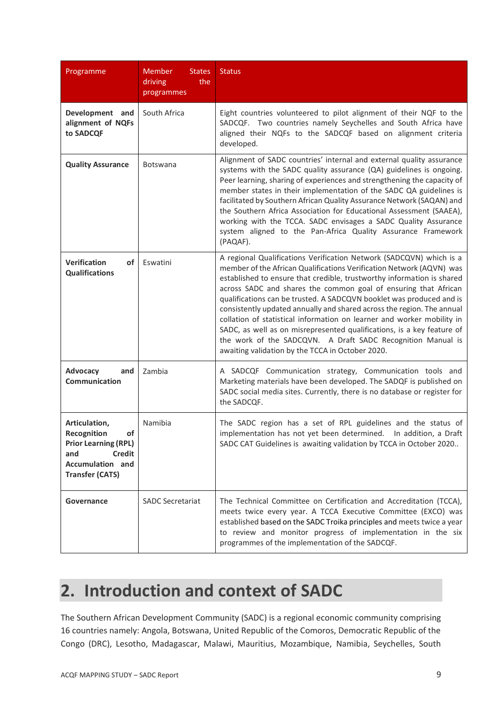| Programme                                                                                                                                             | <b>Member</b><br><b>States</b><br>driving<br>the<br>programmes | <b>Status</b>                                                                                                                                                                                                                                                                                                                                                                                                                                                                                                                                                                                                                                                                                                     |
|-------------------------------------------------------------------------------------------------------------------------------------------------------|----------------------------------------------------------------|-------------------------------------------------------------------------------------------------------------------------------------------------------------------------------------------------------------------------------------------------------------------------------------------------------------------------------------------------------------------------------------------------------------------------------------------------------------------------------------------------------------------------------------------------------------------------------------------------------------------------------------------------------------------------------------------------------------------|
| Development and<br>alignment of NQFs<br>to SADCQF                                                                                                     | South Africa                                                   | Eight countries volunteered to pilot alignment of their NQF to the<br>SADCQF. Two countries namely Seychelles and South Africa have<br>aligned their NQFs to the SADCQF based on alignment criteria<br>developed.                                                                                                                                                                                                                                                                                                                                                                                                                                                                                                 |
| <b>Quality Assurance</b>                                                                                                                              | <b>Botswana</b>                                                | Alignment of SADC countries' internal and external quality assurance<br>systems with the SADC quality assurance (QA) guidelines is ongoing.<br>Peer learning, sharing of experiences and strengthening the capacity of<br>member states in their implementation of the SADC QA guidelines is<br>facilitated by Southern African Quality Assurance Network (SAQAN) and<br>the Southern Africa Association for Educational Assessment (SAAEA),<br>working with the TCCA. SADC envisages a SADC Quality Assurance<br>system aligned to the Pan-Africa Quality Assurance Framework<br>(PAQAF).                                                                                                                        |
| <b>Verification</b><br><b>of</b><br><b>Qualifications</b>                                                                                             | Eswatini                                                       | A regional Qualifications Verification Network (SADCQVN) which is a<br>member of the African Qualifications Verification Network (AQVN) was<br>established to ensure that credible, trustworthy information is shared<br>across SADC and shares the common goal of ensuring that African<br>qualifications can be trusted. A SADCQVN booklet was produced and is<br>consistently updated annually and shared across the region. The annual<br>collation of statistical information on learner and worker mobility in<br>SADC, as well as on misrepresented qualifications, is a key feature of<br>the work of the SADCQVN. A Draft SADC Recognition Manual is<br>awaiting validation by the TCCA in October 2020. |
| Advocacy<br>and<br><b>Communication</b>                                                                                                               | Zambia                                                         | A SADCQF Communication strategy, Communication tools and<br>Marketing materials have been developed. The SADQF is published on<br>SADC social media sites. Currently, there is no database or register for<br>the SADCQF.                                                                                                                                                                                                                                                                                                                                                                                                                                                                                         |
| Articulation,<br><b>of</b><br>Recognition<br><b>Prior Learning (RPL)</b><br><b>Credit</b><br>and<br><b>Accumulation and</b><br><b>Transfer (CATS)</b> | Namibia                                                        | The SADC region has a set of RPL guidelines and the status of<br>implementation has not yet been determined. In addition, a Draft<br>SADC CAT Guidelines is awaiting validation by TCCA in October 2020                                                                                                                                                                                                                                                                                                                                                                                                                                                                                                           |
| Governance                                                                                                                                            | <b>SADC Secretariat</b>                                        | The Technical Committee on Certification and Accreditation (TCCA),<br>meets twice every year. A TCCA Executive Committee (EXCO) was<br>established based on the SADC Troika principles and meets twice a year<br>to review and monitor progress of implementation in the six<br>programmes of the implementation of the SADCQF.                                                                                                                                                                                                                                                                                                                                                                                   |

### <span id="page-8-0"></span>**2. Introduction and context of SADC**

The Southern African Development Community (SADC) is a regional economic community comprising 16 countries namely: Angola, Botswana, United Republic of the Comoros, Democratic Republic of the Congo (DRC), Lesotho, Madagascar, Malawi, Mauritius, Mozambique, Namibia, Seychelles, South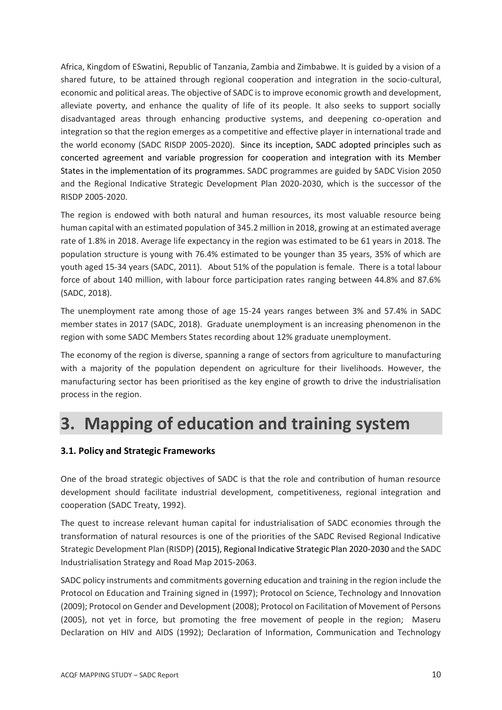Africa, Kingdom of ESwatini, Republic of Tanzania, Zambia and Zimbabwe. It is guided by a vision of a shared future, to be attained through regional cooperation and integration in the socio-cultural, economic and political areas. The objective of SADC is to improve economic growth and development, alleviate poverty, and enhance the quality of life of its people. It also seeks to support socially disadvantaged areas through enhancing productive systems, and deepening co-operation and integration so that the region emerges as a competitive and effective player in international trade and the world economy (SADC RISDP 2005-2020). Since its inception, SADC adopted principles such as concerted agreement and variable progression for cooperation and integration with its Member States in the implementation of its programmes. SADC programmes are guided by SADC Vision 2050 and the Regional Indicative Strategic Development Plan 2020-2030, which is the successor of the RISDP 2005-2020.

The region is endowed with both natural and human resources, its most valuable resource being human capital with an estimated population of 345.2 million in 2018, growing at an estimated average rate of 1.8% in 2018. Average life expectancy in the region was estimated to be 61 years in 2018. The population structure is young with 76.4% estimated to be younger than 35 years, 35% of which are youth aged 15-34 years (SADC, 2011). About 51% of the population is female. There is a total labour force of about 140 million, with labour force participation rates ranging between 44.8% and 87.6% (SADC, 2018).

The unemployment rate among those of age 15-24 years ranges between 3% and 57.4% in SADC member states in 2017 (SADC, 2018). Graduate unemployment is an increasing phenomenon in the region with some SADC Members States recording about 12% graduate unemployment.

The economy of the region is diverse, spanning a range of sectors from agriculture to manufacturing with a majority of the population dependent on agriculture for their livelihoods. However, the manufacturing sector has been prioritised as the key engine of growth to drive the industrialisation process in the region.

### <span id="page-9-0"></span>**3. Mapping of education and training system**

#### **3.1. Policy and Strategic Frameworks**

One of the broad strategic objectives of SADC is that the role and contribution of human resource development should facilitate industrial development, competitiveness, regional integration and cooperation (SADC Treaty, 1992).

The quest to increase relevant human capital for industrialisation of SADC economies through the transformation of natural resources is one of the priorities of the SADC Revised Regional Indicative Strategic Development Plan (RISDP) (2015), Regional Indicative Strategic Plan 2020-2030 and the SADC Industrialisation Strategy and Road Map 2015-2063.

SADC policy instruments and commitments governing education and training in the region include the Protocol on Education and Training signed in (1997); Protocol on Science, Technology and Innovation (2009); Protocol on Gender and Development (2008); Protocol on Facilitation of Movement of Persons (2005), not yet in force, but promoting the free movement of people in the region; Maseru Declaration on HIV and AIDS (1992); Declaration of Information, Communication and Technology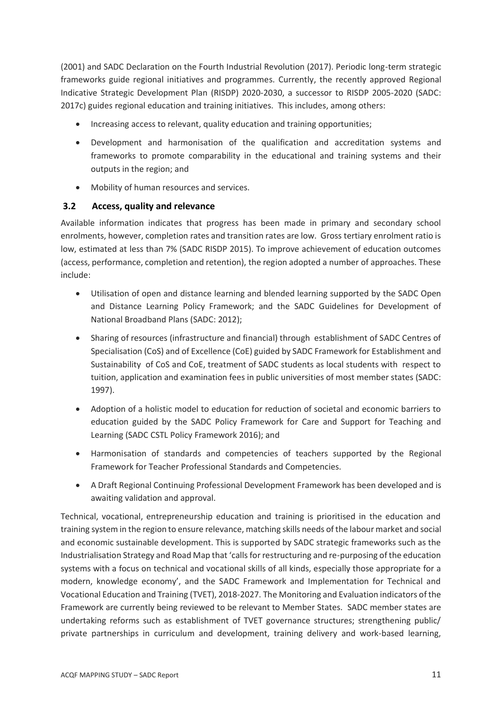(2001) and SADC Declaration on the Fourth Industrial Revolution (2017). Periodic long-term strategic frameworks guide regional initiatives and programmes. Currently, the recently approved Regional Indicative Strategic Development Plan (RISDP) 2020-2030, a successor to RISDP 2005-2020 (SADC: 2017c) guides regional education and training initiatives. This includes, among others:

- Increasing access to relevant, quality education and training opportunities;
- Development and harmonisation of the qualification and accreditation systems and frameworks to promote comparability in the educational and training systems and their outputs in the region; and
- Mobility of human resources and services.

#### **3.2 Access, quality and relevance**

Available information indicates that progress has been made in primary and secondary school enrolments, however, completion rates and transition rates are low. Gross tertiary enrolment ratio is low, estimated at less than 7% (SADC RISDP 2015). To improve achievement of education outcomes (access, performance, completion and retention), the region adopted a number of approaches. These include:

- Utilisation of open and distance learning and blended learning supported by the SADC Open and Distance Learning Policy Framework; and the SADC Guidelines for Development of National Broadband Plans (SADC: 2012);
- Sharing of resources (infrastructure and financial) through establishment of SADC Centres of Specialisation (CoS) and of Excellence (CoE) guided by SADC Framework for Establishment and Sustainability of CoS and CoE, treatment of SADC students as local students with respect to tuition, application and examination fees in public universities of most member states (SADC: 1997).
- Adoption of a holistic model to education for reduction of societal and economic barriers to education guided by the SADC Policy Framework for Care and Support for Teaching and Learning (SADC CSTL Policy Framework 2016); and
- Harmonisation of standards and competencies of teachers supported by the Regional Framework for Teacher Professional Standards and Competencies.
- A Draft Regional Continuing Professional Development Framework has been developed and is awaiting validation and approval.

Technical, vocational, entrepreneurship education and training is prioritised in the education and training system in the region to ensure relevance, matching skills needs of the labour market and social and economic sustainable development. This is supported by SADC strategic frameworks such as the Industrialisation Strategy and Road Map that 'calls for restructuring and re-purposing of the education systems with a focus on technical and vocational skills of all kinds, especially those appropriate for a modern, knowledge economy', and the SADC Framework and Implementation for Technical and Vocational Education and Training (TVET), 2018-2027. The Monitoring and Evaluation indicators of the Framework are currently being reviewed to be relevant to Member States. SADC member states are undertaking reforms such as establishment of TVET governance structures; strengthening public/ private partnerships in curriculum and development, training delivery and work-based learning,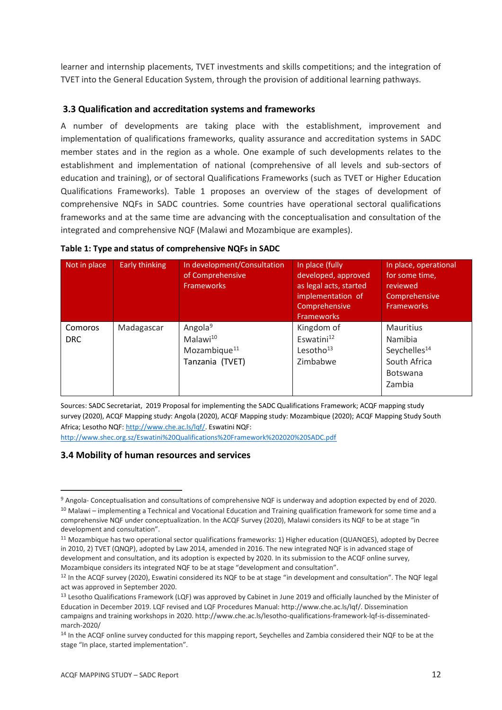learner and internship placements, TVET investments and skills competitions; and the integration of TVET into the General Education System, through the provision of additional learning pathways.

#### **3.3 Qualification and accreditation systems and frameworks**

A number of developments are taking place with the establishment, improvement and implementation of qualifications frameworks, quality assurance and accreditation systems in SADC member states and in the region as a whole. One example of such developments relates to the establishment and implementation of national (comprehensive of all levels and sub-sectors of education and training), or of sectoral Qualifications Frameworks (such as TVET or Higher Education Qualifications Frameworks). Table 1 proposes an overview of the stages of development of comprehensive NQFs in SADC countries. Some countries have operational sectoral qualifications frameworks and at the same time are advancing with the conceptualisation and consultation of the integrated and comprehensive NQF (Malawi and Mozambique are examples).

| Not in place          | Early thinking | In development/Consultation<br>of Comprehensive<br><b>Frameworks</b>                       | In place (fully<br>developed, approved<br>as legal acts, started<br>implementation of<br>Comprehensive<br><b>Frameworks</b> | In place, operational<br>for some time,<br>reviewed<br>Comprehensive<br><b>Frameworks</b>            |
|-----------------------|----------------|--------------------------------------------------------------------------------------------|-----------------------------------------------------------------------------------------------------------------------------|------------------------------------------------------------------------------------------------------|
| Comoros<br><b>DRC</b> | Madagascar     | Angola <sup>9</sup><br>Malawi <sup>10</sup><br>Mozambique <sup>11</sup><br>Tanzania (TVET) | Kingdom of<br>Eswatini <sup>12</sup><br>Lesotho <sup>13</sup><br>Zimbabwe                                                   | <b>Mauritius</b><br>Namibia<br>Seychelles <sup>14</sup><br>South Africa<br><b>Botswana</b><br>Zambia |

Sources: SADC Secretariat, 2019 Proposal for implementing the SADC Qualifications Framework; ACQF mapping study survey (2020), ACQF Mapping study: Angola (2020), ACQF Mapping study: Mozambique (2020); ACQF Mapping Study South Africa; Lesotho NQF[: http://www.che.ac.ls/lqf/.](http://www.che.ac.ls/lqf/) Eswatini NQF:

<http://www.shec.org.sz/Eswatini%20Qualifications%20Framework%202020%20SADC.pdf>

#### **3.4 Mobility of human resources and services**

<sup>&</sup>lt;sup>9</sup> Angola- Conceptualisation and consultations of comprehensive NQF is underway and adoption expected by end of 2020. <sup>10</sup> Malawi – implementing a Technical and Vocational Education and Training qualification framework for some time and a comprehensive NQF under conceptualization. In the ACQF Survey (2020), Malawi considers its NQF to be at stage "in development and consultation".

<sup>11</sup> Mozambique has two operational sector qualifications frameworks: 1) Higher education (QUANQES), adopted by Decree in 2010, 2) TVET (QNQP), adopted by Law 2014, amended in 2016. The new integrated NQF is in advanced stage of development and consultation, and its adoption is expected by 2020. In its submission to the ACQF online survey, Mozambique considers its integrated NQF to be at stage "development and consultation".

<sup>&</sup>lt;sup>12</sup> In the ACQF survey (2020), Eswatini considered its NQF to be at stage "in development and consultation". The NQF legal act was approved in September 2020.

<sup>&</sup>lt;sup>13</sup> Lesotho Qualifications Framework (LQF) was approved by Cabinet in June 2019 and officially launched by the Minister of Education in December 2019. LQF revised and LQF Procedures Manual: http://www.che.ac.ls/lqf/. Dissemination campaigns and training workshops in 2020. http://www.che.ac.ls/lesotho-qualifications-framework-lqf-is-disseminatedmarch-2020/

<sup>&</sup>lt;sup>14</sup> In the ACQF online survey conducted for this mapping report, Seychelles and Zambia considered their NQF to be at the stage "In place, started implementation".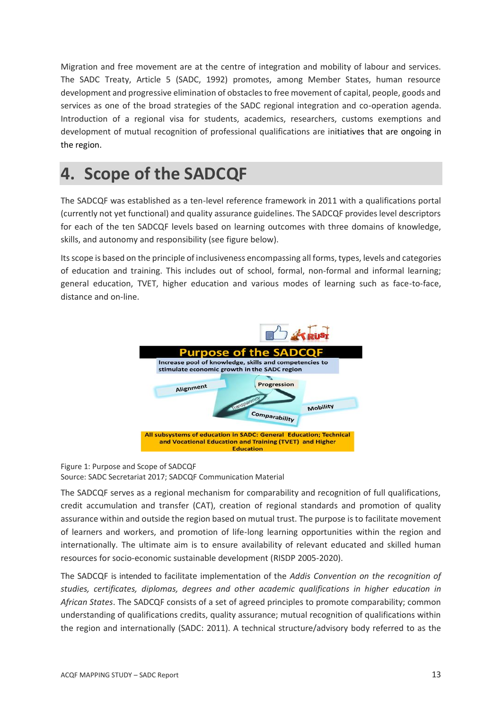Migration and free movement are at the centre of integration and mobility of labour and services. The SADC Treaty, Article 5 (SADC, 1992) promotes, among Member States, human resource development and progressive elimination of obstacles to free movement of capital, people, goods and services as one of the broad strategies of the SADC regional integration and co-operation agenda. Introduction of a regional visa for students, academics, researchers, customs exemptions and development of mutual recognition of professional qualifications are initiatives that are ongoing in the region.

### <span id="page-12-0"></span>**4. Scope of the SADCQF**

The SADCQF was established as a ten-level reference framework in 2011 with a qualifications portal (currently not yet functional) and quality assurance guidelines. The SADCQF provides level descriptors for each of the ten SADCQF levels based on learning outcomes with three domains of knowledge, skills, and autonomy and responsibility (see figure below).

Its scope is based on the principle of inclusiveness encompassing all forms, types, levels and categories of education and training. This includes out of school, formal, non-formal and informal learning; general education, TVET, higher education and various modes of learning such as face-to-face, distance and on-line.



#### Figure 1: Purpose and Scope of SADCQF Source: SADC Secretariat 2017; SADCQF Communication Material

The SADCQF serves as a regional mechanism for comparability and recognition of full qualifications, credit accumulation and transfer (CAT), creation of regional standards and promotion of quality assurance within and outside the region based on mutual trust. The purpose is to facilitate movement of learners and workers, and promotion of life-long learning opportunities within the region and internationally. The ultimate aim is to ensure availability of relevant educated and skilled human resources for socio-economic sustainable development (RISDP 2005-2020).

The SADCQF is intended to facilitate implementation of the *Addis Convention on the recognition of studies, certificates, diplomas, degrees and other academic qualifications in higher education in African States*. The SADCQF consists of a set of agreed principles to promote comparability; common understanding of qualifications credits, quality assurance; mutual recognition of qualifications within the region and internationally (SADC: 2011). A technical structure/advisory body referred to as the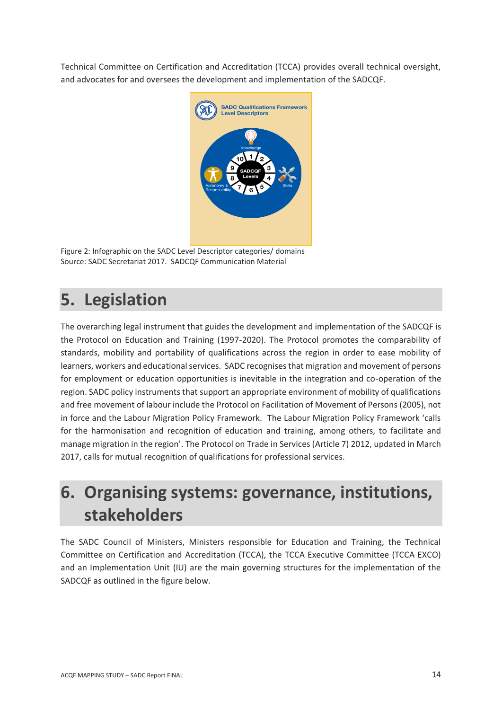Technical Committee on Certification and Accreditation (TCCA) provides overall technical oversight, and advocates for and oversees the development and implementation of the SADCQF.



Figure 2: Infographic on the SADC Level Descriptor categories/ domains Source: SADC Secretariat 2017. SADCQF Communication Material

### <span id="page-13-0"></span>**5. Legislation**

The overarching legal instrument that guides the development and implementation of the SADCQF is the Protocol on Education and Training (1997-2020). The Protocol promotes the comparability of standards, mobility and portability of qualifications across the region in order to ease mobility of learners, workers and educational services. SADC recognises that migration and movement of persons for employment or education opportunities is inevitable in the integration and co-operation of the region. SADC policy instruments that support an appropriate environment of mobility of qualifications and free movement of labour include the Protocol on Facilitation of Movement of Persons (2005), not in force and the Labour Migration Policy Framework. The Labour Migration Policy Framework 'calls for the harmonisation and recognition of education and training, among others, to facilitate and manage migration in the region'. The Protocol on Trade in Services (Article 7) 2012, updated in March 2017, calls for mutual recognition of qualifications for professional services.

### <span id="page-13-1"></span>**6. Organising systems: governance, institutions, stakeholders**

The SADC Council of Ministers, Ministers responsible for Education and Training, the Technical Committee on Certification and Accreditation (TCCA), the TCCA Executive Committee (TCCA EXCO) and an Implementation Unit (IU) are the main governing structures for the implementation of the SADCQF as outlined in the figure below.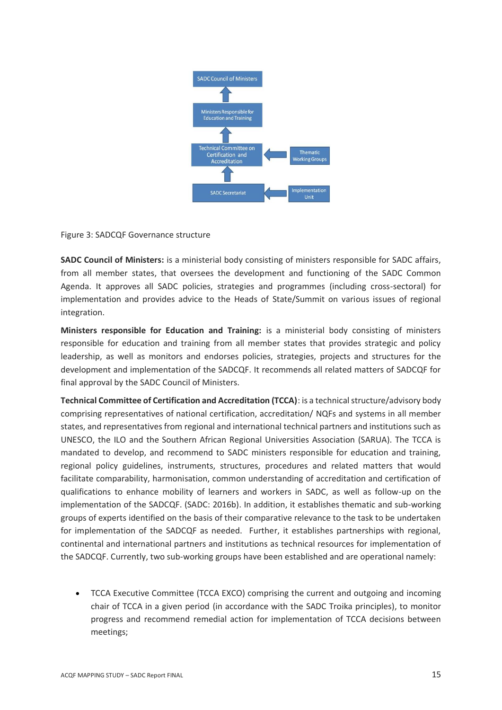

Figure 3: SADCQF Governance structure

**SADC Council of Ministers:** is a ministerial body consisting of ministers responsible for SADC affairs, from all member states, that oversees the development and functioning of the SADC Common Agenda. It approves all SADC policies, strategies and programmes (including cross-sectoral) for implementation and provides advice to the Heads of State/Summit on various issues of regional integration.

**Ministers responsible for Education and Training:** is a ministerial body consisting of ministers responsible for education and training from all member states that provides strategic and policy leadership, as well as monitors and endorses policies, strategies, projects and structures for the development and implementation of the SADCQF. It recommends all related matters of SADCQF for final approval by the SADC Council of Ministers.

**Technical Committee of Certification and Accreditation (TCCA)**: is a technical structure/advisory body comprising representatives of national certification, accreditation/ NQFs and systems in all member states, and representatives from regional and international technical partners and institutions such as UNESCO, the ILO and the Southern African Regional Universities Association (SARUA). The TCCA is mandated to develop, and recommend to SADC ministers responsible for education and training, regional policy guidelines, instruments, structures, procedures and related matters that would facilitate comparability, harmonisation, common understanding of accreditation and certification of qualifications to enhance mobility of learners and workers in SADC, as well as follow-up on the implementation of the SADCQF. (SADC: 2016b). In addition, it establishes thematic and sub-working groups of experts identified on the basis of their comparative relevance to the task to be undertaken for implementation of the SADCQF as needed. Further, it establishes partnerships with regional, continental and international partners and institutions as technical resources for implementation of the SADCQF. Currently, two sub-working groups have been established and are operational namely:

• TCCA Executive Committee (TCCA EXCO) comprising the current and outgoing and incoming chair of TCCA in a given period (in accordance with the SADC Troika principles), to monitor progress and recommend remedial action for implementation of TCCA decisions between meetings;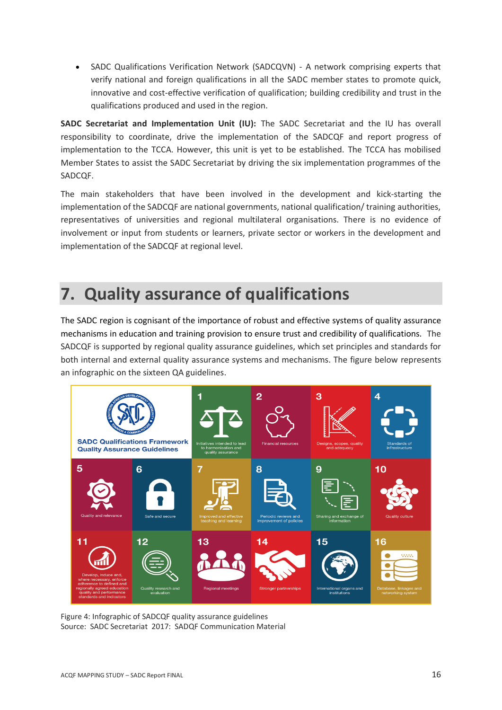• SADC Qualifications Verification Network (SADCQVN) - A network comprising experts that verify national and foreign qualifications in all the SADC member states to promote quick, innovative and cost-effective verification of qualification; building credibility and trust in the qualifications produced and used in the region.

**SADC Secretariat and Implementation Unit (IU):** The SADC Secretariat and the IU has overall responsibility to coordinate, drive the implementation of the SADCQF and report progress of implementation to the TCCA. However, this unit is yet to be established. The TCCA has mobilised Member States to assist the SADC Secretariat by driving the six implementation programmes of the SADCQF.

The main stakeholders that have been involved in the development and kick-starting the implementation of the SADCQF are national governments, national qualification/ training authorities, representatives of universities and regional multilateral organisations. There is no evidence of involvement or input from students or learners, private sector or workers in the development and implementation of the SADCQF at regional level.

### <span id="page-15-0"></span>**7. Quality assurance of qualifications**

The SADC region is cognisant of the importance of robust and effective systems of quality assurance mechanisms in education and training provision to ensure trust and credibility of qualifications. The SADCQF is supported by regional quality assurance guidelines, which set principles and standards for both internal and external quality assurance systems and mechanisms. The figure below represents an infographic on the sixteen QA guidelines.



Figure 4: Infographic of SADCQF quality assurance guidelines Source: SADC Secretariat 2017: SADQF Communication Material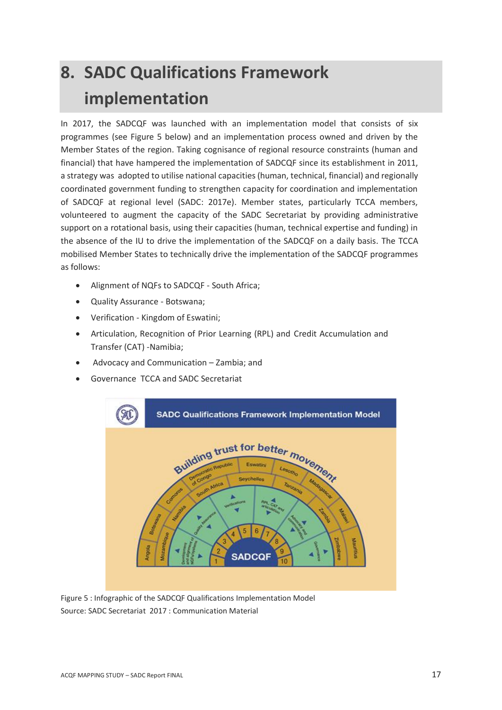# <span id="page-16-0"></span>**8. SADC Qualifications Framework implementation**

In 2017, the SADCQF was launched with an implementation model that consists of six programmes (see Figure 5 below) and an implementation process owned and driven by the Member States of the region. Taking cognisance of regional resource constraints (human and financial) that have hampered the implementation of SADCQF since its establishment in 2011, a strategy was adopted to utilise national capacities (human, technical, financial) and regionally coordinated government funding to strengthen capacity for coordination and implementation of SADCQF at regional level (SADC: 2017e). Member states, particularly TCCA members, volunteered to augment the capacity of the SADC Secretariat by providing administrative support on a rotational basis, using their capacities (human, technical expertise and funding) in the absence of the IU to drive the implementation of the SADCQF on a daily basis. The TCCA mobilised Member States to technically drive the implementation of the SADCQF programmes as follows:

- Alignment of NQFs to SADCQF South Africa;
- Quality Assurance Botswana;
- Verification Kingdom of Eswatini;
- Articulation, Recognition of Prior Learning (RPL) and Credit Accumulation and Transfer (CAT) -Namibia;
- Advocacy and Communication Zambia; and
- Governance TCCA and SADC Secretariat



Figure 5 : Infographic of the SADCQF Qualifications Implementation Model Source: SADC Secretariat 2017 : Communication Material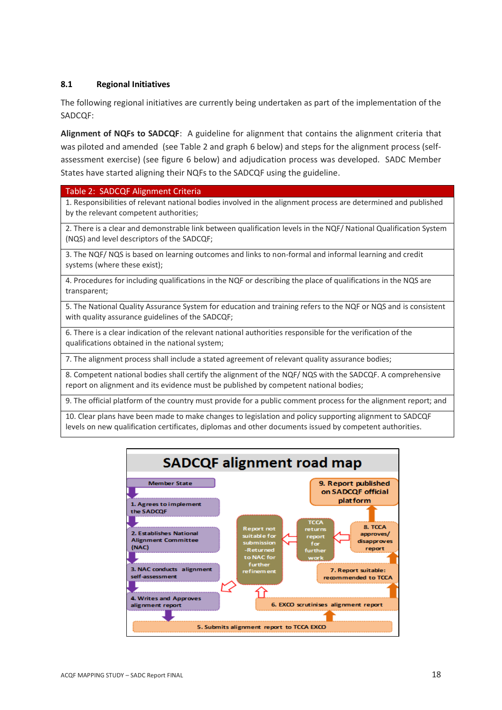#### <span id="page-17-0"></span>**8.1 Regional Initiatives**

The following regional initiatives are currently being undertaken as part of the implementation of the SADCQF:

**Alignment of NQFs to SADCQF**: A guideline for alignment that contains the alignment criteria that was piloted and amended (see Table 2 and graph 6 below) and steps for the alignment process (selfassessment exercise) (see figure 6 below) and adjudication process was developed. SADC Member States have started aligning their NQFs to the SADCQF using the guideline.

#### Table 2: SADCQF Alignment Criteria

1. Responsibilities of relevant national bodies involved in the alignment process are determined and published by the relevant competent authorities;

2. There is a clear and demonstrable link between qualification levels in the NQF/ National Qualification System (NQS) and level descriptors of the SADCQF;

3. The NQF/ NQS is based on learning outcomes and links to non-formal and informal learning and credit systems (where these exist);

4. Procedures for including qualifications in the NQF or describing the place of qualifications in the NQS are transparent;

5. The National Quality Assurance System for education and training refers to the NQF or NQS and is consistent with quality assurance guidelines of the SADCQF;

6. There is a clear indication of the relevant national authorities responsible for the verification of the qualifications obtained in the national system;

7. The alignment process shall include a stated agreement of relevant quality assurance bodies;

8. Competent national bodies shall certify the alignment of the NQF/ NQS with the SADCQF. A comprehensive report on alignment and its evidence must be published by competent national bodies;

9. The official platform of the country must provide for a public comment process for the alignment report; and

10. Clear plans have been made to make changes to legislation and policy supporting alignment to SADCQF levels on new qualification certificates, diplomas and other documents issued by competent authorities.

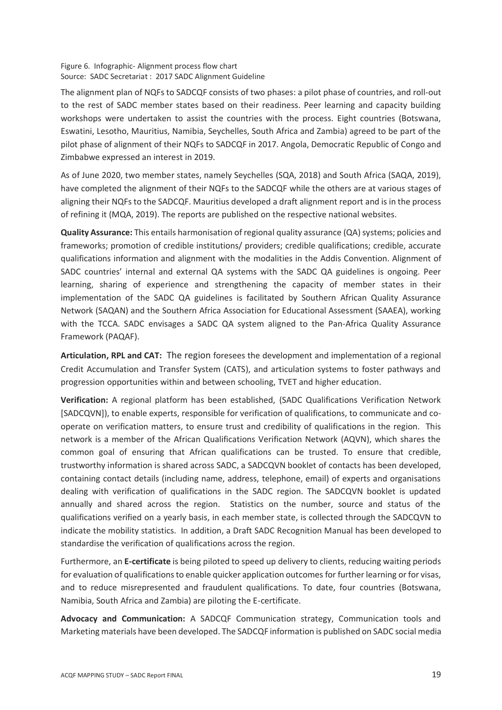#### Figure 6. Infographic- Alignment process flow chart Source: SADC Secretariat : 2017 SADC Alignment Guideline

The alignment plan of NQFs to SADCQF consists of two phases: a pilot phase of countries, and roll-out to the rest of SADC member states based on their readiness. Peer learning and capacity building workshops were undertaken to assist the countries with the process. Eight countries (Botswana, Eswatini, Lesotho, Mauritius, Namibia, Seychelles, South Africa and Zambia) agreed to be part of the pilot phase of alignment of their NQFs to SADCQF in 2017. Angola, Democratic Republic of Congo and Zimbabwe expressed an interest in 2019.

As of June 2020, two member states, namely Seychelles (SQA, 2018) and South Africa (SAQA, 2019), have completed the alignment of their NQFs to the SADCQF while the others are at various stages of aligning their NQFs to the SADCQF. Mauritius developed a draft alignment report and is in the process of refining it (MQA, 2019). The reports are published on the respective national websites.

**Quality Assurance:** This entails harmonisation of regional quality assurance (QA) systems; policies and frameworks; promotion of credible institutions/ providers; credible qualifications; credible, accurate qualifications information and alignment with the modalities in the Addis Convention. Alignment of SADC countries' internal and external QA systems with the SADC QA guidelines is ongoing. Peer learning, sharing of experience and strengthening the capacity of member states in their implementation of the SADC QA guidelines is facilitated by Southern African Quality Assurance Network (SAQAN) and the Southern Africa Association for Educational Assessment (SAAEA), working with the TCCA. SADC envisages a SADC QA system aligned to the Pan-Africa Quality Assurance Framework (PAQAF).

**Articulation, RPL and CAT:** The region foresees the development and implementation of a regional Credit Accumulation and Transfer System (CATS), and articulation systems to foster pathways and progression opportunities within and between schooling, TVET and higher education.

**Verification:** A regional platform has been established, (SADC Qualifications Verification Network [SADCQVN]), to enable experts, responsible for verification of qualifications, to communicate and cooperate on verification matters, to ensure trust and credibility of qualifications in the region. This network is a member of the African Qualifications Verification Network (AQVN), which shares the common goal of ensuring that African qualifications can be trusted. To ensure that credible, trustworthy information is shared across SADC, a SADCQVN booklet of contacts has been developed, containing contact details (including name, address, telephone, email) of experts and organisations dealing with verification of qualifications in the SADC region. The SADCQVN booklet is updated annually and shared across the region. Statistics on the number, source and status of the qualifications verified on a yearly basis, in each member state, is collected through the SADCQVN to indicate the mobility statistics. In addition, a Draft SADC Recognition Manual has been developed to standardise the verification of qualifications across the region.

Furthermore, an **E-certificate** is being piloted to speed up delivery to clients, reducing waiting periods for evaluation of qualifications to enable quicker application outcomes for further learning or for visas, and to reduce misrepresented and fraudulent qualifications. To date, four countries (Botswana, Namibia, South Africa and Zambia) are piloting the E-certificate.

**Advocacy and Communication:** A SADCQF Communication strategy, Communication tools and Marketing materials have been developed. The SADCQF information is published on SADC social media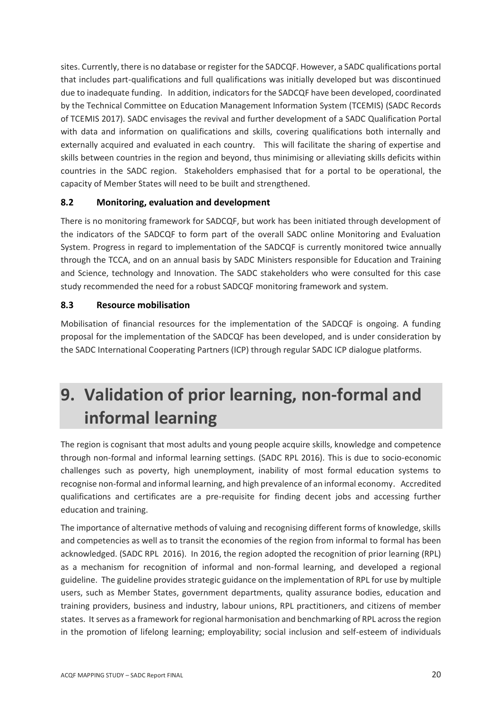sites. Currently, there is no database or register for the SADCQF. However, a SADC qualifications portal that includes part-qualifications and full qualifications was initially developed but was discontinued due to inadequate funding. In addition, indicators for the SADCQF have been developed, coordinated by the Technical Committee on Education Management Information System (TCEMIS) (SADC Records of TCEMIS 2017). SADC envisages the revival and further development of a SADC Qualification Portal with data and information on qualifications and skills, covering qualifications both internally and externally acquired and evaluated in each country. This will facilitate the sharing of expertise and skills between countries in the region and beyond, thus minimising or alleviating skills deficits within countries in the SADC region. Stakeholders emphasised that for a portal to be operational, the capacity of Member States will need to be built and strengthened.

#### <span id="page-19-0"></span>**8.2 Monitoring, evaluation and development**

There is no monitoring framework for SADCQF, but work has been initiated through development of the indicators of the SADCQF to form part of the overall SADC online Monitoring and Evaluation System. Progress in regard to implementation of the SADCQF is currently monitored twice annually through the TCCA, and on an annual basis by SADC Ministers responsible for Education and Training and Science, technology and Innovation. The SADC stakeholders who were consulted for this case study recommended the need for a robust SADCQF monitoring framework and system.

#### <span id="page-19-1"></span>**8.3 Resource mobilisation**

Mobilisation of financial resources for the implementation of the SADCQF is ongoing. A funding proposal for the implementation of the SADCQF has been developed, and is under consideration by the SADC International Cooperating Partners (ICP) through regular SADC ICP dialogue platforms.

### <span id="page-19-2"></span>**9. Validation of prior learning, non-formal and informal learning**

The region is cognisant that most adults and young people acquire skills, knowledge and competence through non-formal and informal learning settings. (SADC RPL 2016). This is due to socio-economic challenges such as poverty, high unemployment, inability of most formal education systems to recognise non-formal and informal learning, and high prevalence of an informal economy. Accredited qualifications and certificates are a pre-requisite for finding decent jobs and accessing further education and training.

The importance of alternative methods of valuing and recognising different forms of knowledge, skills and competencies as well as to transit the economies of the region from informal to formal has been acknowledged. (SADC RPL 2016). In 2016, the region adopted the recognition of prior learning (RPL) as a mechanism for recognition of informal and non-formal learning, and developed a regional guideline. The guideline provides strategic guidance on the implementation of RPL for use by multiple users, such as Member States, government departments, quality assurance bodies, education and training providers, business and industry, labour unions, RPL practitioners, and citizens of member states. It serves as a framework for regional harmonisation and benchmarking of RPL across the region in the promotion of lifelong learning; employability; social inclusion and self-esteem of individuals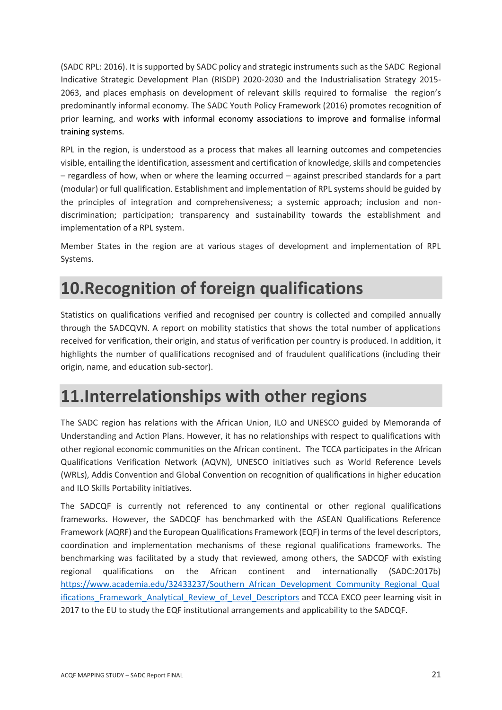(SADC RPL: 2016). It is supported by SADC policy and strategic instruments such as the SADC Regional Indicative Strategic Development Plan (RISDP) 2020-2030 and the Industrialisation Strategy 2015- 2063, and places emphasis on development of relevant skills required to formalise the region's predominantly informal economy. The SADC Youth Policy Framework (2016) promotes recognition of prior learning, and works with informal economy associations to improve and formalise informal training systems.

RPL in the region, is understood as a process that makes all learning outcomes and competencies visible, entailing the identification, assessment and certification of knowledge, skills and competencies – regardless of how, when or where the learning occurred – against prescribed standards for a part (modular) or full qualification. Establishment and implementation of RPL systems should be guided by the principles of integration and comprehensiveness; a systemic approach; inclusion and nondiscrimination; participation; transparency and sustainability towards the establishment and implementation of a RPL system.

Member States in the region are at various stages of development and implementation of RPL Systems.

### <span id="page-20-0"></span>**10.Recognition of foreign qualifications**

Statistics on qualifications verified and recognised per country is collected and compiled annually through the SADCQVN. A report on mobility statistics that shows the total number of applications received for verification, their origin, and status of verification per country is produced. In addition, it highlights the number of qualifications recognised and of fraudulent qualifications (including their origin, name, and education sub-sector).

### <span id="page-20-1"></span>**11.Interrelationships with other regions**

The SADC region has relations with the African Union, ILO and UNESCO guided by Memoranda of Understanding and Action Plans. However, it has no relationships with respect to qualifications with other regional economic communities on the African continent. The TCCA participates in the African Qualifications Verification Network (AQVN), UNESCO initiatives such as World Reference Levels (WRLs), Addis Convention and Global Convention on recognition of qualifications in higher education and ILO Skills Portability initiatives.

The SADCQF is currently not referenced to any continental or other regional qualifications frameworks. However, the SADCQF has benchmarked with the ASEAN Qualifications Reference Framework (AQRF) and the European Qualifications Framework (EQF) in terms of the level descriptors, coordination and implementation mechanisms of these regional qualifications frameworks. The benchmarking was facilitated by a study that reviewed, among others, the SADCQF with existing regional qualifications on the African continent and internationally (SADC:2017b) [https://www.academia.edu/32433237/Southern\\_African\\_Development\\_Community\\_Regional\\_Qual](https://www.academia.edu/32433237/Southern_African_Development_Community_Regional_Qualifications_Framework_Analytical_Review_of_Level_Descriptors) ifications Framework Analytical Review of Level Descriptors and TCCA EXCO peer learning visit in 2017 to the EU to study the EQF institutional arrangements and applicability to the SADCQF.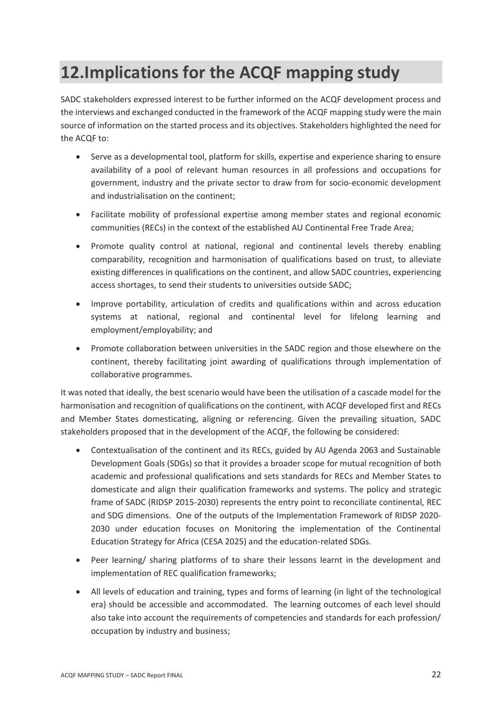## <span id="page-21-0"></span>**12.Implications for the ACQF mapping study**

SADC stakeholders expressed interest to be further informed on the ACQF development process and the interviews and exchanged conducted in the framework of the ACQF mapping study were the main source of information on the started process and its objectives. Stakeholders highlighted the need for the ACQF to:

- Serve as a developmental tool, platform for skills, expertise and experience sharing to ensure availability of a pool of relevant human resources in all professions and occupations for government, industry and the private sector to draw from for socio-economic development and industrialisation on the continent;
- Facilitate mobility of professional expertise among member states and regional economic communities (RECs) in the context of the established AU Continental Free Trade Area;
- Promote quality control at national, regional and continental levels thereby enabling comparability, recognition and harmonisation of qualifications based on trust, to alleviate existing differences in qualifications on the continent, and allow SADC countries, experiencing access shortages, to send their students to universities outside SADC;
- Improve portability, articulation of credits and qualifications within and across education systems at national, regional and continental level for lifelong learning and employment/employability; and
- Promote collaboration between universities in the SADC region and those elsewhere on the continent, thereby facilitating joint awarding of qualifications through implementation of collaborative programmes.

It was noted that ideally, the best scenario would have been the utilisation of a cascade model for the harmonisation and recognition of qualifications on the continent, with ACQF developed first and RECs and Member States domesticating, aligning or referencing. Given the prevailing situation, SADC stakeholders proposed that in the development of the ACQF, the following be considered:

- Contextualisation of the continent and its RECs, guided by AU Agenda 2063 and Sustainable Development Goals (SDGs) so that it provides a broader scope for mutual recognition of both academic and professional qualifications and sets standards for RECs and Member States to domesticate and align their qualification frameworks and systems. The policy and strategic frame of SADC (RIDSP 2015-2030) represents the entry point to reconciliate continental, REC and SDG dimensions. One of the outputs of the Implementation Framework of RIDSP 2020- 2030 under education focuses on Monitoring the implementation of the Continental Education Strategy for Africa (CESA 2025) and the education-related SDGs.
- Peer learning/ sharing platforms of to share their lessons learnt in the development and implementation of REC qualification frameworks;
- All levels of education and training, types and forms of learning (in light of the technological era) should be accessible and accommodated. The learning outcomes of each level should also take into account the requirements of competencies and standards for each profession/ occupation by industry and business;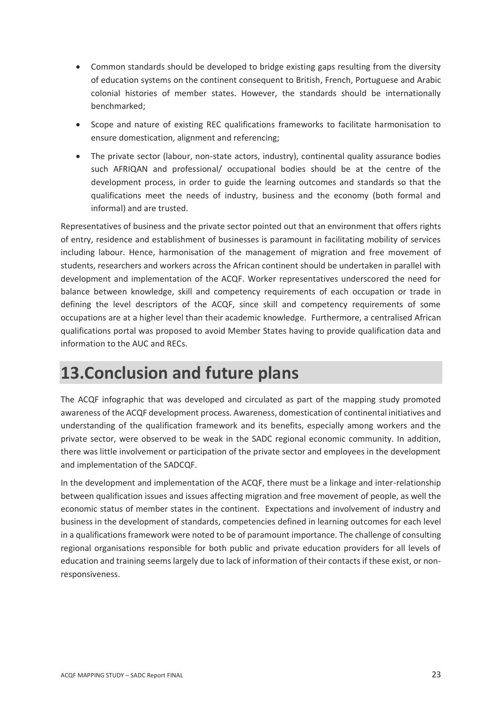- Common standards should be developed to bridge existing gaps resulting from the diversity of education systems on the continent consequent to British, French, Portuguese and Arabic colonial histories of member states. However, the standards should be internationally benchmarked;
- Scope and nature of existing REC qualifications frameworks to facilitate harmonisation to ensure domestication, alignment and referencing;
- The private sector (labour, non-state actors, industry), continental quality assurance bodies such AFRIQAN and professional/ occupational bodies should be at the centre of the development process, in order to guide the learning outcomes and standards so that the qualifications meet the needs of industry, business and the economy (both formal and informal) and are trusted.

Representatives of business and the private sector pointed out that an environment that offers rights of entry, residence and establishment of businesses is paramount in facilitating mobility of services including labour. Hence, harmonisation of the management of migration and free movement of students, researchers and workers across the African continent should be undertaken in parallel with development and implementation of the ACQF. Worker representatives underscored the need for balance between knowledge, skill and competency requirements of each occupation or trade in defining the level descriptors of the ACQF, since skill and competency requirements of some occupations are at a higher level than their academic knowledge. Furthermore, a centralised African qualifications portal was proposed to avoid Member States having to provide qualification data and information to the AUC and RECs.

### <span id="page-22-0"></span>**13.Conclusion and future plans**

The ACQF infographic that was developed and circulated as part of the mapping study promoted awareness of the ACQF development process. Awareness, domestication of continental initiatives and understanding of the qualification framework and its benefits, especially among workers and the private sector, were observed to be weak in the SADC regional economic community. In addition, there was little involvement or participation of the private sector and employees in the development and implementation of the SADCQF.

In the development and implementation of the ACQF, there must be a linkage and inter-relationship between qualification issues and issues affecting migration and free movement of people, as well the economic status of member states in the continent. Expectations and involvement of industry and business in the development of standards, competencies defined in learning outcomes for each level in a qualifications framework were noted to be of paramount importance. The challenge of consulting regional organisations responsible for both public and private education providers for all levels of education and training seems largely due to lack of information of their contacts if these exist, or nonresponsiveness.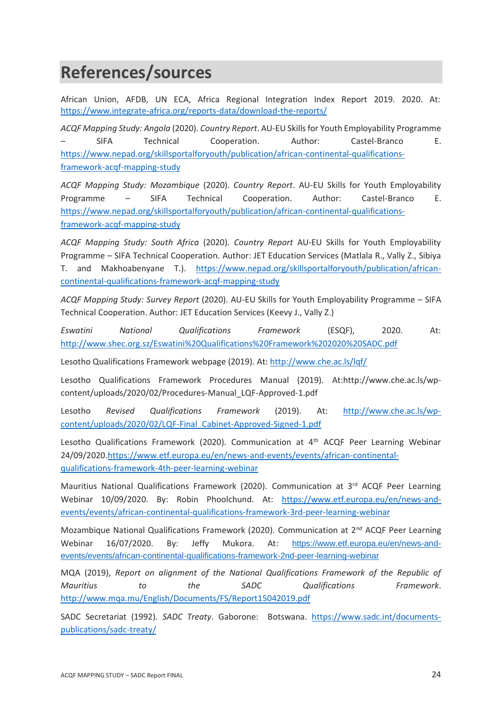### <span id="page-23-0"></span>**References/sources**

African Union, AFDB, UN ECA, Africa Regional Integration Index Report 2019. 2020. At: <https://www.integrate-africa.org/reports-data/download-the-reports/>

*ACQF Mapping Study: Angola* (2020). *Country Report*. AU-EU Skills for Youth Employability Programme – SIFA Technical Cooperation. Author: Castel-Branco E. [https://www.nepad.org/skillsportalforyouth/publication/african-continental-qualifications](https://www.nepad.org/skillsportalforyouth/publication/african-continental-qualifications-framework-acqf-mapping-study)[framework-acqf-mapping-study](https://www.nepad.org/skillsportalforyouth/publication/african-continental-qualifications-framework-acqf-mapping-study)

*ACQF Mapping Study: Mozambique* (2020). *Country Report*. AU-EU Skills for Youth Employability Programme – SIFA Technical Cooperation. Author: Castel-Branco E. [https://www.nepad.org/skillsportalforyouth/publication/african-continental-qualifications](https://www.nepad.org/skillsportalforyouth/publication/african-continental-qualifications-framework-acqf-mapping-study)[framework-acqf-mapping-study](https://www.nepad.org/skillsportalforyouth/publication/african-continental-qualifications-framework-acqf-mapping-study)

*ACQF Mapping Study: South Africa* (2020). *Country Report* AU-EU Skills for Youth Employability Programme – SIFA Technical Cooperation. Author: JET Education Services (Matlala R., Vally Z., Sibiya T. and Makhoabenyane T.). [https://www.nepad.org/skillsportalforyouth/publication/african](https://www.nepad.org/skillsportalforyouth/publication/african-continental-qualifications-framework-acqf-mapping-study)[continental-qualifications-framework-acqf-mapping-study](https://www.nepad.org/skillsportalforyouth/publication/african-continental-qualifications-framework-acqf-mapping-study)

*ACQF Mapping Study: Survey Report* (2020). AU-EU Skills for Youth Employability Programme – SIFA Technical Cooperation. Author: JET Education Services (Keevy J., Vally Z.)

*Eswatini National Qualifications Framework* (ESQF), 2020. At: <http://www.shec.org.sz/Eswatini%20Qualifications%20Framework%202020%20SADC.pdf>

Lesotho Qualifications Framework webpage (2019). At:<http://www.che.ac.ls/lqf/>

Lesotho Qualifications Framework Procedures Manual (2019). At:http://www.che.ac.ls/wpcontent/uploads/2020/02/Procedures-Manual\_LQF-Approved-1.pdf

Lesotho *Revised Qualifications Framework* (2019). At: [http://www.che.ac.ls/wp](http://www.che.ac.ls/wp-content/uploads/2020/02/LQF-Final_Cabinet-Approved-Signed-1.pdf)[content/uploads/2020/02/LQF-Final\\_Cabinet-Approved-Signed-1.pdf](http://www.che.ac.ls/wp-content/uploads/2020/02/LQF-Final_Cabinet-Approved-Signed-1.pdf)

Lesotho Qualifications Framework (2020). Communication at 4<sup>th</sup> ACQF Peer Learning Webinar 24/09/2020[.https://www.etf.europa.eu/en/news-and-events/events/african-continental](https://www.etf.europa.eu/en/news-and-events/events/african-continental-qualifications-framework-4th-peer-learning-webinar)[qualifications-framework-4th-peer-learning-webinar](https://www.etf.europa.eu/en/news-and-events/events/african-continental-qualifications-framework-4th-peer-learning-webinar)

Mauritius National Qualifications Framework (2020). Communication at 3<sup>rd</sup> ACQF Peer Learning Webinar 10/09/2020. By: Robin Phoolchund. At: [https://www.etf.europa.eu/en/news-and](https://www.etf.europa.eu/en/news-and-events/events/african-continental-qualifications-framework-3rd-peer-learning-webinar)[events/events/african-continental-qualifications-framework-3rd-peer-learning-webinar](https://www.etf.europa.eu/en/news-and-events/events/african-continental-qualifications-framework-3rd-peer-learning-webinar)

Mozambique National Qualifications Framework (2020). Communication at 2nd ACQF Peer Learning Webinar 16/07/2020. By: Jeffy Mukora. At: [https://www.etf.europa.eu/en/news-and](https://www.etf.europa.eu/en/news-and-events/events/african-continental-qualifications-framework-2nd-peer-learning-webinar)[events/events/african-continental-qualifications-framework-2nd-peer-learning-webinar](https://www.etf.europa.eu/en/news-and-events/events/african-continental-qualifications-framework-2nd-peer-learning-webinar)

MQA (2019), *Report on alignment of the National Qualifications Framework of the Republic of Mauritius to the SADC Qualifications Framework*. <http://www.mqa.mu/English/Documents/FS/Report15042019.pdf>

SADC Secretariat (1992). *SADC Treaty*. Gaborone: Botswana. [https://www.sadc.int/documents](https://www.sadc.int/documents-publications/sadc-treaty/)[publications/sadc-treaty/](https://www.sadc.int/documents-publications/sadc-treaty/)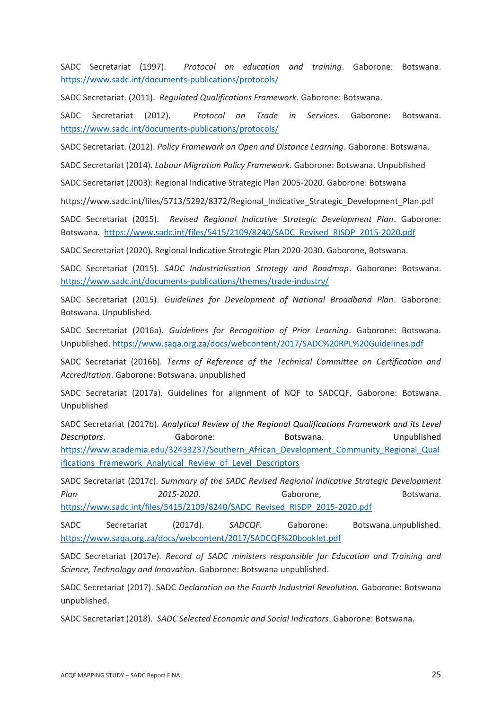SADC Secretariat (1997). *Protocol on education and training*. Gaborone: Botswana. <https://www.sadc.int/documents-publications/protocols/>

SADC Secretariat. (2011). *Regulated Qualifications Framework*. Gaborone: Botswana.

SADC Secretariat (2012). *Protocol on Trade in Services*. Gaborone: Botswana. <https://www.sadc.int/documents-publications/protocols/>

SADC Secretariat. (2012). *Policy Framework on Open and Distance Learning*. Gaborone: Botswana.

SADC Secretariat (2014). *Labour Migration Policy Framework*. Gaborone: Botswana. Unpublished

SADC Secretariat (2003): Regional Indicative Strategic Plan 2005-2020. Gaborone: Botswana

https://www.sadc.int/files/5713/5292/8372/Regional\_Indicative\_Strategic\_Development\_Plan.pdf

SADC Secretariat (2015). *Revised Regional Indicative Strategic Development Plan*. Gaborone: Botswana. [https://www.sadc.int/files/5415/2109/8240/SADC\\_Revised\\_RISDP\\_2015-2020.pdf](https://www.sadc.int/files/5415/2109/8240/SADC_Revised_RISDP_2015-2020.pdf)

SADC Secretariat (2020). Regional Indicative Strategic Plan 2020-2030. Gaborone, Botswana.

SADC Secretariat (2015). *SADC Industrialisation Strategy and Roadmap*. Gaborone: Botswana. <https://www.sadc.int/documents-publications/themes/trade-industry/>

SADC Secretariat (2015). *Guidelines for Development of National Broadband Plan*. Gaborone: Botswana. Unpublished.

SADC Secretariat (2016a). *Guidelines for Recognition of Prior Learning*. Gaborone: Botswana. Unpublished. <https://www.saqa.org.za/docs/webcontent/2017/SADC%20RPL%20Guidelines.pdf>

SADC Secretariat (2016b). *Terms of Reference of the Technical Committee on Certification and Accreditation*. Gaborone: Botswana. unpublished

SADC Secretariat (2017a). Guidelines for alignment of NQF to SADCQF, Gaborone: Botswana. Unpublished

SADC Secretariat (2017b). *Analytical Review of the Regional Qualifications Framework and its Level*  **Descriptors.** Gaborone: Botswana. Unpublished [https://www.academia.edu/32433237/Southern\\_African\\_Development\\_Community\\_Regional\\_Qual](https://www.academia.edu/32433237/Southern_African_Development_Community_Regional_Qualifications_Framework_Analytical_Review_of_Level_Descriptors) ifications Framework Analytical Review of Level Descriptors

SADC Secretariat (2017c). *Summary of the SADC Revised Regional Indicative Strategic Development*  Plan 2015-2020. Gaborone, Botswana. [https://www.sadc.int/files/5415/2109/8240/SADC\\_Revised\\_RISDP\\_2015-2020.pdf](https://www.sadc.int/files/5415/2109/8240/SADC_Revised_RISDP_2015-2020.pdf)

SADC Secretariat (2017d). *SADCQF*. Gaborone: Botswana.unpublished. <https://www.saqa.org.za/docs/webcontent/2017/SADCQF%20booklet.pdf>

SADC Secretariat (2017e). *Record of SADC ministers responsible for Education and Training and Science, Technology and Innovation*. Gaborone: Botswana unpublished.

SADC Secretariat (2017). SADC *Declaration on the Fourth Industrial Revolution.* Gaborone: Botswana unpublished.

SADC Secretariat (2018). *SADC Selected Economic and Social Indicators*. Gaborone: Botswana.